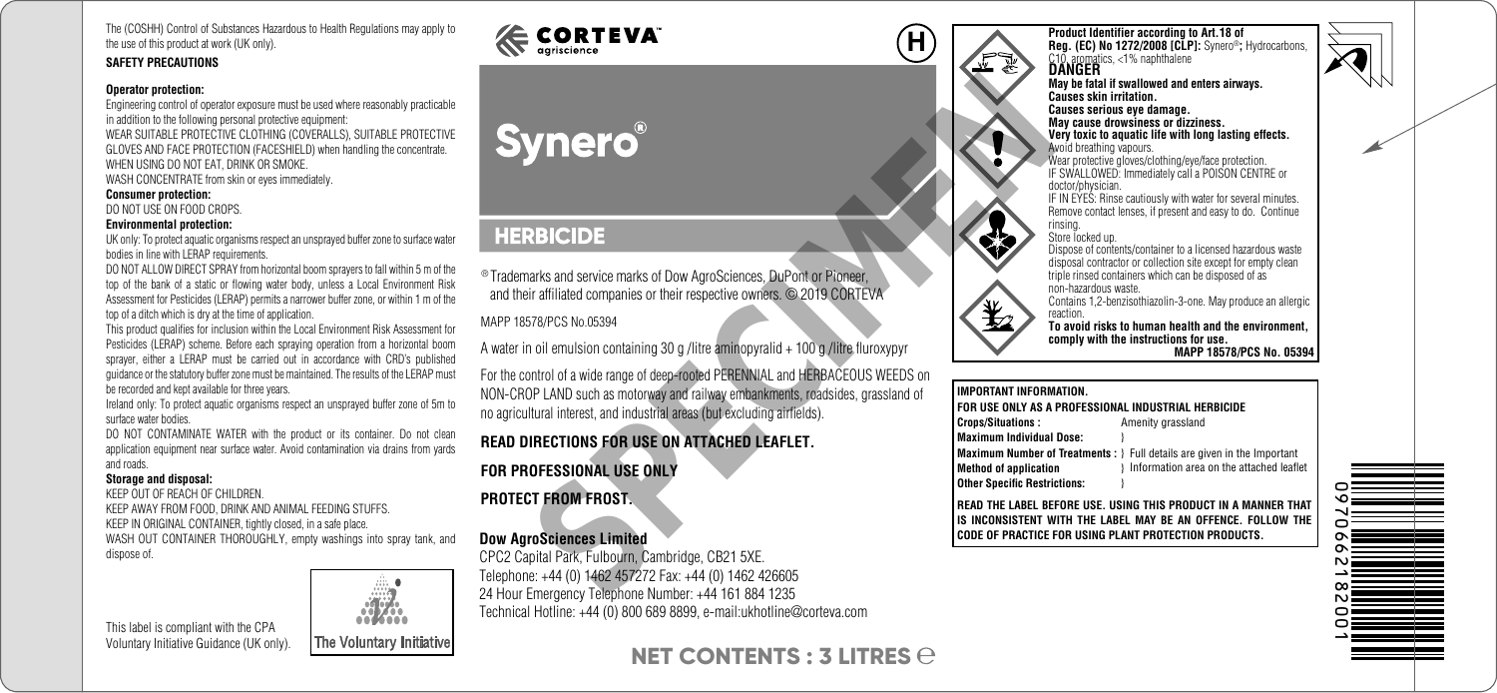The (COSHH) Control of Substances Hazardous to Health Regulations may apply to the use of this product at work (UK only).

#### **SAFETY PRECAUTIONS**

#### **Operator protection:**

Engineering control of operator exposure must be used where reasonably practicable in addition to the following personal protective equipment: WEAR SUITABLE PROTECTIVE CLOTHING (COVERALLS), SUITABLE PROTECTIVE GLOVES AND FACE PROTECTION (FACESHIELD) when handling the concentrate. WHEN USING DO NOT FAT, DRINK OR SMOKE.

WASH CONCENTRATE from skin or eyes immediately.

#### **Consumer protection:**

DO NOT USE ON FOOD CROPS.

#### **Environmental protection:**

UK only: To protect aquatic organisms respect an unsprayed buffer zone to surface water bodies in line with LERAP requirements.

DO NOT ALLOW DIRECT SPRAY from horizontal boom sprayers to fall within 5 m of the top of the bank of a static or flowing water body, unless a Local Environment Risk Assessment for Pesticides (LERAP) permits a narrower buffer zone, or within 1 m of the top of a ditch which is dry at the time of application.

This product qualifies for inclusion within the Local Environment Risk Assessment for Pesticides (LERAP) scheme. Before each spraying operation from a horizontal boom sprayer, either a LERAP must be carried out in accordance with CRD's published guidance or the statutory buffer zone must be maintained. The results of the LERAP must be recorded and kept available for three years.

Ireland only: To protect aquatic organisms respect an unsprayed buffer zone of 5m to surface water bodies.

DO NOT CONTAMINATE WATER with the product or its container. Do not clean application equipment near surface water. Avoid contamination via drains from yards and roads.

#### **Storage and disposal:**

KEEP OUT OF REACH OF CHILDREN. KEEP AWAY FROM FOOD, DRINK AND ANIMAL FEEDING STUFFS. KEEP IN ORIGINAL CONTAINER, tightly closed, in a safe place. WASH OUT CONTAINER THOROUGHLY, empty washings into spray tank, and dispose of.

This label is compliant with the CPA Voluntary Initiative Guidance (UK only).



# $\mathsf{CORTEVA}^*$

® Trademarks and service marks of Dow AgroSciences, DuPont or Pioneer, and their affiliated companies or their respective owners. © 2019 CORTEVA

MAPP 18578/PCS No.05394

A water in oil emulsion containing 30 g /litre aminopyralid + 100 g /litre fluroxypyr For the control of a wide range of deep-rooted PERENNIAL and HERBACEOUS WEEDS on NON-CROP LAND such as motorway and railway embankments, roadsides, grassland of no agricultural interest, and industrial areas (but excluding airfields). **EXERCISE CONSIDERED ASSESS AND SECURE AND ACCORD CONSIDERED AND SECURE AND SECURE AND STAPPES No.05394**<br>
SPECIMENT AND such as molonomises or their respective cwmers. © 2019 CORTEVA<br>
To ill emulsion containing 30 g /litre

## **READ DIRECTIONS FOR USE ON ATTACHED LEAFLET.**

## **FOR PROFESSIONAL USE ONLY**

#### **PROTECT FROM FROST.**

#### **Dow AgroSciences Limited**

CPC2 Capital Park, Fulbourn, Cambridge, CB21 5XE. Telephone: +44 (0) 1462 457272 Fax: +44 (0) 1462 426605 24 Hour Emergency Telephone Number: +44 161 884 1235 Technical Hotline: +44 (0) 800 689 8899, e-mail:ukhotline@corteva.com

# **NET CONTENTS : 3 LITRES**

**Product Identifier according to Art.18 of Reg. (EC) No 1272/2008 [CLP]:** Synero®**;** Hydrocarbons, C10, aromatics, <1% naphthalene **DANGER**

**May be fatal if swallowed and enters airways. Causes skin irritation. Causes serious eye damage. May cause drowsiness or dizziness. Very toxic to aquatic life with long lasting effects.** Avoid breathing vapours.

Wear protective gloves/clothing/eye/face protection. IF SWALLOWED: Immediately call a POISON CENTRE or doctor/physician.

IF IN EYES: Rinse cautiously with water for several minutes. Remove contact lenses, if present and easy to do. Continue rinsing.

Store locked up.

Dispose of contents/container to a licensed hazardous waste disposal contractor or collection site except for empty clean triple rinsed containers which can be disposed of as non-hazardous waste.

Contains 1,2-benzisothiazolin-3-one. May produce an allergic reaction.

**To avoid risks to human health and the environment, comply with the instructions for use. MAPP 18578/PCS No. 05394**

#### **IMPORTANT INFORMATION. FOR USE ONLY AS A PROFESSIONAL INDUSTRIAL HERBICIDE Crops/Situations : Amenity grassland Maximum Individual Dose:** }

**Maximum Number of Treatments :** } Full details are given in the Important **Method of application Other Specific Restrictions:** } Information area on the attached leaflet

**READ THE LABEL BEFORE USE. USING THIS PRODUCT IN A MANNER THAT IS INCONSISTENT WITH THE LABEL MAY BE AN OFFENCE. FOLLOW THE CODE OF PRACTICE FOR USING PLANT PROTECTION PRODUCTS.**



**H**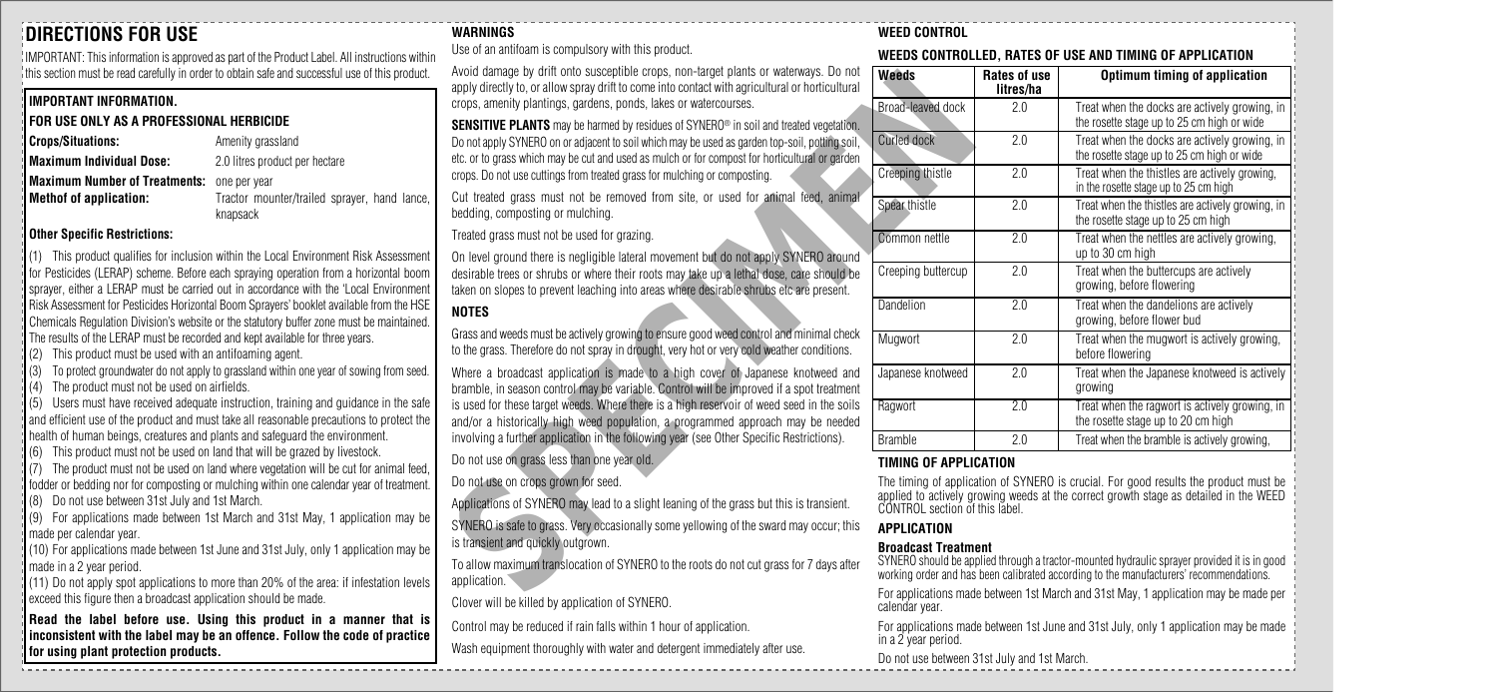## **DIRECTIONS FOR USE**

IMPORTANT: This information is approved as part of the Product Label. All instructions within this section must be read carefully in order to obtain safe and successful use of this product.

#### **IMPORTANT INFORMATION.**

## **FOR USE ONLY AS A PROFESSIONAL HERBICIDE**

| <b>Crops/Situations:</b> | Amenity grassland              |
|--------------------------|--------------------------------|
| Maximum Individual Dose: | 2.0 litres product per hectare |

**Maximum Number of Treatments:** one per year<br>**Methof of application:** Tractor mou

**Methof of application:** Tractor mounter/trailed sprayer, hand lance, knapsack

#### **Other Specific Restrictions:**

(1) This product qualifies for inclusion within the Local Environment Risk Assessment for Pesticides (LERAP) scheme. Before each spraying operation from a horizontal boom sprayer, either a LERAP must be carried out in accordance with the 'Local Environment Risk Assessment for Pesticides Horizontal Boom Sprayers' booklet available from the HSE Chemicals Regulation Division's website or the statutory buffer zone must be maintained. The results of the LERAP must be recorded and kept available for three years.

(2) This product must be used with an antifoaming agent.

(3) To protect groundwater do not apply to grassland within one year of sowing from seed.

(4) The product must not be used on airfields.

(5) Users must have received adequate instruction, training and guidance in the safe and efficient use of the product and must take all reasonable precautions to protect the health of human beings, creatures and plants and safeguard the environment.

(6) This product must not be used on land that will be grazed by livestock.

(7) The product must not be used on land where vegetation will be cut for animal feed, fodder or bedding nor for composting or mulching within one calendar year of treatment.

(8) Do not use between 31st July and 1st March.

(9) For applications made between 1st March and 31st May, 1 application may be made per calendar year.

(10) For applications made between 1st June and 31st July, only 1 application may be made in a 2 year period.

(11) Do not apply spot applications to more than 20% of the area: if infestation levels exceed this figure then a broadcast application should be made.

**Read the label before use. Using this product in a manner that is inconsistent with the label may be an offence. Follow the code of practice for using plant protection products.**

#### **WARNINGS**

Use of an antifoam is compulsory with this product.

Avoid damage by drift onto susceptible crops, non-target plants or waterways. Do not apply directly to, or allow spray drift to come into contact with agricultural or horticultural crops, amenity plantings, gardens, ponds, lakes or watercourses.

**SENSITIVE PLANTS** may be harmed by residues of SYNERO<sup>®</sup> in soil and treated vegetation. Do not apply SYNERO on or adjacent to soil which may be used as garden top-soil, potting soil, etc. or to grass which may be cut and used as mulch or for compost for horticultural or garden crops. Do not use cuttings from treated grass for mulching or composting.

Cut treated grass must not be removed from site, or used for animal feed, animal bedding, composting or mulching.

Treated grass must not be used for grazing.

On level ground there is negligible lateral movement but do not apply SYNERO around desirable trees or shrubs or where their roots may take up a lethal dose, care should be taken on slopes to prevent leaching into areas where desirable shrubs etc are present.

## **NOTES**

Grass and weeds must be actively growing to ensure good weed control and minimal check to the grass. Therefore do not spray in drought, very hot or very cold weather conditions.

Where a broadcast application is made to a high cover of Japanese knotweed and bramble, in season control may be variable. Control will be improved if a spot treatment is used for these target weeds. Where there is a high reservoir of weed seed in the soils and/or a historically high weed population, a programmed approach may be needed involving a further application in the following year (see Other Specific Restrictions). apply of the grass and weeks where the content with the proposed in the state of SYNERO in the state of SYNERO and the state of SYNERO and the state of state of the grass that the state of state of the grass of the state o

Do not use on grass less than one year old.

Do not use on crops grown for seed.

Applications of SYNERO may lead to a slight leaning of the grass but this is transient.

SYNERO is safe to grass. Very occasionally some yellowing of the sward may occur; this is transient and quickly outgrown.

To allow maximum translocation of SYNERO to the roots do not cut grass for 7 days after application.

Clover will be killed by application of SYNERO.

Control may be reduced if rain falls within 1 hour of application.

Wash equipment thoroughly with water and detergent immediately after use.

#### **WEED CONTROL**

#### **WEEDS CONTROLLED, RATES OF USE AND TIMING OF APPLICATION**

| Weeds              | Rates of use<br>litres/ha | Optimum timing of application                                                               |  |
|--------------------|---------------------------|---------------------------------------------------------------------------------------------|--|
| Broad-leaved dock  | 2.0                       | Treat when the docks are actively growing, in<br>the rosette stage up to 25 cm high or wide |  |
| Curled dock        | 2.0                       | Treat when the docks are actively growing, in<br>the rosette stage up to 25 cm high or wide |  |
| Creeping thistle   | 2.0                       | Treat when the thistles are actively growing,<br>in the rosette stage up to 25 cm high      |  |
| Spear thistle      | 2.0                       | Treat when the thistles are actively growing, in<br>the rosette stage up to 25 cm high      |  |
| Common nettle      | 2.0                       | Treat when the nettles are actively growing,<br>up to 30 cm high                            |  |
| Creeping buttercup | 2.0                       | Treat when the buttercups are actively<br>growing, before flowering                         |  |
| Dandelion          | 2.0                       | Treat when the dandelions are actively<br>growing, before flower bud                        |  |
| Mugwort            | 2.0                       | Treat when the mugwort is actively growing,<br>before flowering                             |  |
| Japanese knotweed  | 2.0                       | Treat when the Japanese knotweed is actively<br>growing                                     |  |
| Ragwort            | 2.0                       | Treat when the ragwort is actively growing, in<br>the rosette stage up to 20 cm high        |  |
| <b>Bramble</b>     | 2.0                       | Treat when the bramble is actively growing,                                                 |  |

#### **TIMING OF APPLICATION**

The timing of application of SYNERO is crucial. For good results the product must be applied to actively growing weeds at the correct growth stage as detailed in the WEED CONTROL section of this label.

#### **APPLICATION**

#### **Broadcast Treatment**

SYNERO should be applied through a tractor-mounted hydraulic sprayer provided it is in good working order and has been calibrated according to the manufacturers' recommendations.

For applications made between 1st March and 31st May, 1 application may be made per calendar year.

For applications made between 1st June and 31st July, only 1 application may be made in a 2 year period.

Do not use between 31st July and 1st March.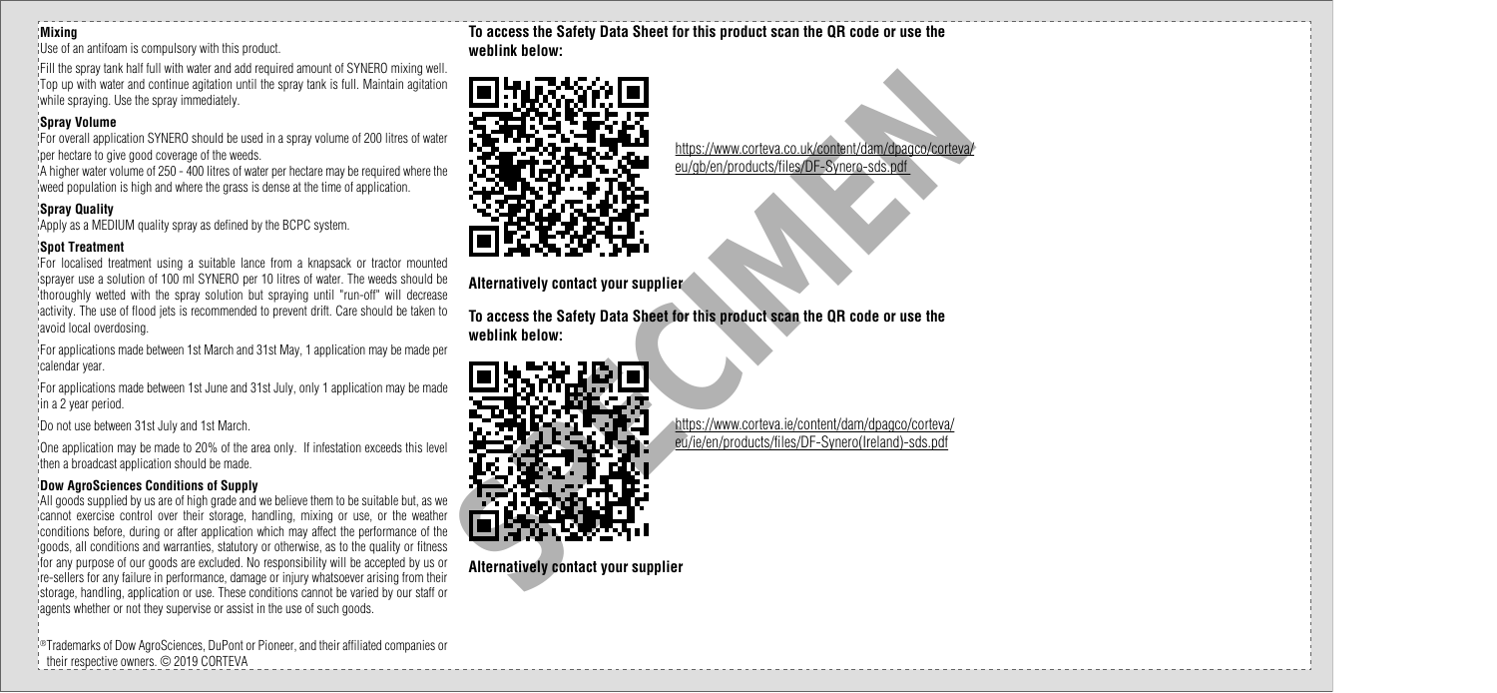#### **Mixing**

Use of an antifoam is compulsory with this product.

Fill the spray tank half full with water and add required amount of SYNERO mixing well. Top up with water and continue agitation until the spray tank is full. Maintain agitation while spraying. Use the spray immediately.

#### **Spray Volume**

For overall application SYNERO should be used in a spray volume of 200 litres of water per hectare to give good coverage of the weeds.

A higher water volume of 250 - 400 litres of water per hectare may be required where the weed population is high and where the grass is dense at the time of application.

#### **Spray Quality**

Apply as a MEDIUM quality spray as defined by the BCPC system.

#### **Spot Treatment**

For localised treatment using a suitable lance from a knapsack or tractor mounted sprayer use a solution of 100 ml SYNERO per 10 litres of water. The weeds should be thoroughly wetted with the spray solution but spraying until "run-off" will decrease activity. The use of flood jets is recommended to prevent drift. Care should be taken to avoid local overdosing.

For applications made between 1st March and 31st May, 1 application may be made per calendar year.

For applications made between 1st June and 31st July, only 1 application may be made in a 2 year period.

Do not use between 31st July and 1st March.

One application may be made to 20% of the area only. If infestation exceeds this level then a broadcast application should be made.

#### **Dow AgroSciences Conditions of Supply**

All goods supplied by us are of high grade and we believe them to be suitable but, as we cannot exercise control over their storage, handling, mixing or use, or the weather conditions before, during or after application which may affect the performance of the goods, all conditions and warranties, statutory or otherwise, as to the quality or fitness for any purpose of our goods are excluded. No responsibility will be accepted by us or re-sellers for any failure in performance, damage or injury whatsoever arising from their storage, handling, application or use. These conditions cannot be varied by our staff or agents whether or not they supervise or assist in the use of such goods.

®Trademarks of Dow AgroSciences, DuPont or Pioneer, and their affiliated companies or their respective owners. © 2019 CORTEVA

**To access the Safety Data Sheet for this product scan the QR code or use the weblink below:**



**Alternatively contact your supplier**

**To access the Safety Data Sheet for this product scan the QR code or use the weblink below:**



**Alternatively contact your supplier**

https://www.corteva.co.uk/content/dam/dpagco/corteva/ eu/gb/en/products/files/DF-Synero-sds.pdf

https://www.corteva.ie/content/dam/dpagco/corteva/ eu/ie/en/products/files/DF-Synero(Ireland)-sds.pdf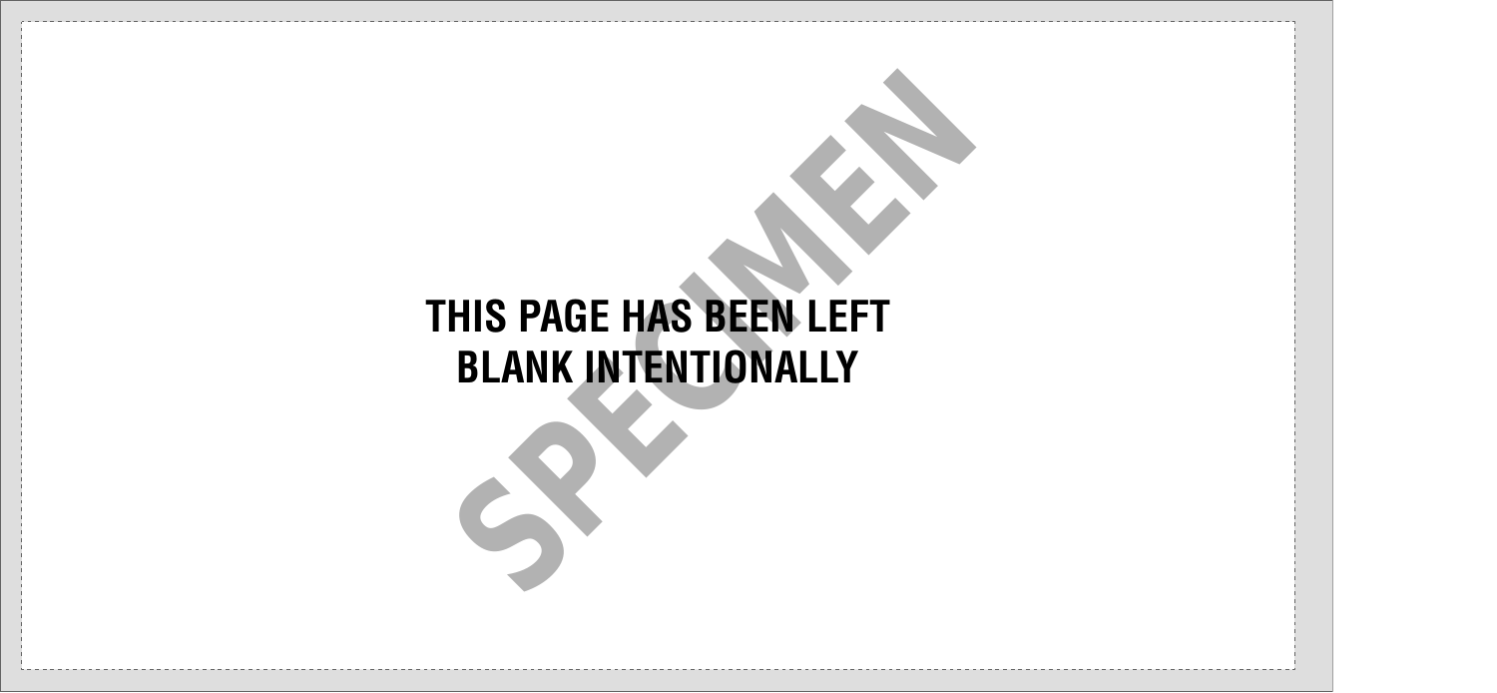# **THIS PAGE HAS BEEN LEFT BLANK INTENTIONALLY** HIS PAGE HAS BEEN LEFT<br>BLANK INTENTIONALLY